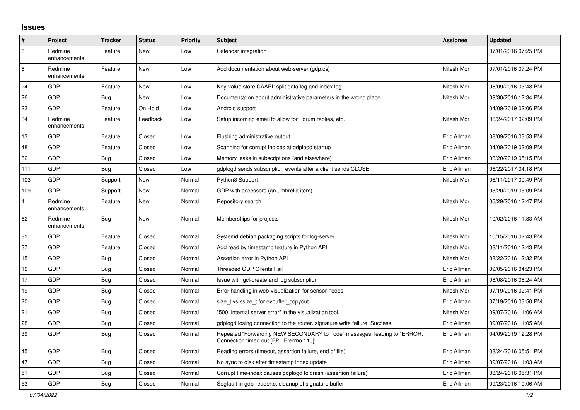## **Issues**

| ∦   | Project                 | <b>Tracker</b> | <b>Status</b> | Priority | <b>Subject</b>                                                                                                      | <b>Assignee</b> | <b>Updated</b>      |
|-----|-------------------------|----------------|---------------|----------|---------------------------------------------------------------------------------------------------------------------|-----------------|---------------------|
| 6   | Redmine<br>enhancements | Feature        | New           | Low      | Calendar integration                                                                                                |                 | 07/01/2016 07:25 PM |
| 8   | Redmine<br>enhancements | Feature        | New           | Low      | Add documentation about web-server (gdp.cs)                                                                         | Nitesh Mor      | 07/01/2016 07:24 PM |
| 24  | GDP                     | Feature        | <b>New</b>    | Low      | Key-value store CAAPI: split data log and index log                                                                 | Nitesh Mor      | 08/09/2016 03:48 PM |
| 26  | GDP                     | <b>Bug</b>     | New           | Low      | Documentation about administrative parameters in the wrong place                                                    | Nitesh Mor      | 09/30/2016 12:34 PM |
| 23  | GDP                     | Feature        | On Hold       | Low      | Android support                                                                                                     |                 | 04/09/2019 02:06 PM |
| 34  | Redmine<br>enhancements | Feature        | Feedback      | Low      | Setup incoming email to allow for Forum replies, etc.                                                               | Nitesh Mor      | 06/24/2017 02:09 PM |
| 13  | GDP                     | Feature        | Closed        | Low      | Flushing administrative output                                                                                      | Eric Allman     | 08/09/2016 03:53 PM |
| 48  | GDP                     | Feature        | Closed        | Low      | Scanning for corrupt indices at gdplogd startup                                                                     | Eric Allman     | 04/09/2019 02:09 PM |
| 82  | GDP                     | Bug            | Closed        | Low      | Memory leaks in subscriptions (and elsewhere)                                                                       | Eric Allman     | 03/20/2019 05:15 PM |
| 111 | GDP                     | Bug            | Closed        | Low      | gdplogd sends subscription events after a client sends CLOSE                                                        | Eric Allman     | 06/22/2017 04:18 PM |
| 103 | GDP                     | Support        | New           | Normal   | Python3 Support                                                                                                     | Nitesh Mor      | 06/11/2017 09:49 PM |
| 109 | GDP                     | Support        | New           | Normal   | GDP with accessors (an umbrella item)                                                                               |                 | 03/20/2019 05:09 PM |
| 4   | Redmine<br>enhancements | Feature        | New           | Normal   | Repository search                                                                                                   | Nitesh Mor      | 06/29/2016 12:47 PM |
| 62  | Redmine<br>enhancements | Bug            | <b>New</b>    | Normal   | Memberships for projects                                                                                            | Nitesh Mor      | 10/02/2016 11:33 AM |
| 31  | GDP                     | Feature        | Closed        | Normal   | Systemd debian packaging scripts for log-server                                                                     | Nitesh Mor      | 10/15/2016 02:43 PM |
| 37  | GDP                     | Feature        | Closed        | Normal   | Add read by timestamp feature in Python API                                                                         | Nitesh Mor      | 08/11/2016 12:43 PM |
| 15  | GDP                     | <b>Bug</b>     | Closed        | Normal   | Assertion error in Python API                                                                                       | Nitesh Mor      | 08/22/2016 12:32 PM |
| 16  | GDP                     | Bug            | Closed        | Normal   | <b>Threaded GDP Clients Fail</b>                                                                                    | Eric Allman     | 09/05/2016 04:23 PM |
| 17  | GDP                     | Bug            | Closed        | Normal   | Issue with gcl-create and log subscription                                                                          | Eric Allman     | 08/08/2016 08:24 AM |
| 19  | GDP                     | Bug            | Closed        | Normal   | Error handling in web-visualization for sensor nodes                                                                | Nitesh Mor      | 07/19/2016 02:41 PM |
| 20  | GDP                     | <b>Bug</b>     | Closed        | Normal   | size t vs ssize t for evbuffer copyout                                                                              | Eric Allman     | 07/19/2016 03:50 PM |
| 21  | GDP                     | Bug            | Closed        | Normal   | '500: internal server error" in the visualization tool.                                                             | Nitesh Mor      | 09/07/2016 11:06 AM |
| 28  | GDP                     | Bug            | Closed        | Normal   | gdplogd losing connection to the router, signature write failure: Success                                           | Eric Allman     | 09/07/2016 11:05 AM |
| 39  | GDP                     | <b>Bug</b>     | Closed        | Normal   | Repeated "Forwarding NEW SECONDARY to node" messages, leading to "ERROR:<br>Connection timed out [EPLIB:errno:110]" | Eric Allman     | 04/09/2019 12:28 PM |
| 45  | GDP                     | Bug            | Closed        | Normal   | Reading errors (timeout, assertion failure, end of file)                                                            | Eric Allman     | 08/24/2016 05:51 PM |
| 47  | GDP                     | Bug            | Closed        | Normal   | No sync to disk after timestamp index update                                                                        | Eric Allman     | 09/07/2016 11:03 AM |
| 51  | GDP                     | Bug            | Closed        | Normal   | Corrupt time-index causes gdplogd to crash (assertion failure)                                                      | Eric Allman     | 08/24/2016 05:31 PM |
| 53  | GDP                     | Bug            | Closed        | Normal   | Segfault in gdp-reader.c; cleanup of signature buffer                                                               | Eric Allman     | 09/23/2016 10:06 AM |